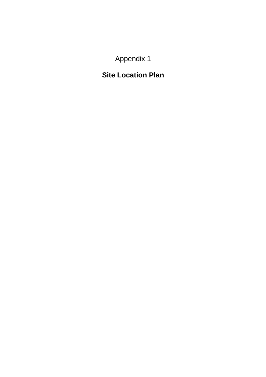Appendix 1

## **Site Location Plan**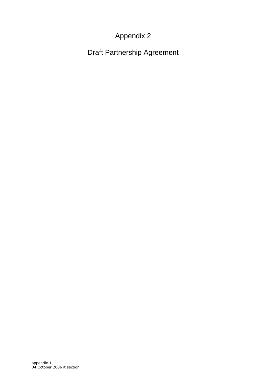## Appendix 2

Draft Partnership Agreement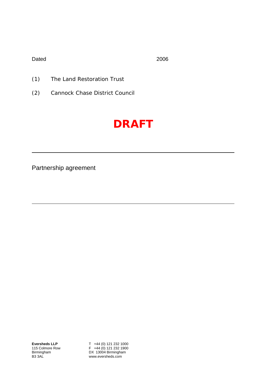Dated 2006

- (1) The Land Restoration Trust
- (2) Cannock Chase District Council

# **DRAFT**

Partnership agreement

T +44 (0) 121 232 1000 F +44 (0) 121 232 1900 DX 13004 Birmingham www.eversheds.com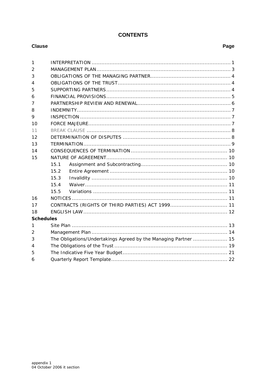### **CONTENTS**

#### **Clause**

| $\mathbf{1}$     |                                                                 |  |  |  |  |  |  |
|------------------|-----------------------------------------------------------------|--|--|--|--|--|--|
| 2                |                                                                 |  |  |  |  |  |  |
| 3                |                                                                 |  |  |  |  |  |  |
| 4                |                                                                 |  |  |  |  |  |  |
| 5                |                                                                 |  |  |  |  |  |  |
| 6                |                                                                 |  |  |  |  |  |  |
| 7                |                                                                 |  |  |  |  |  |  |
| 8                |                                                                 |  |  |  |  |  |  |
| 9                |                                                                 |  |  |  |  |  |  |
| 10               |                                                                 |  |  |  |  |  |  |
| 11               |                                                                 |  |  |  |  |  |  |
| 12               |                                                                 |  |  |  |  |  |  |
| 13               |                                                                 |  |  |  |  |  |  |
| 14               |                                                                 |  |  |  |  |  |  |
| 15               |                                                                 |  |  |  |  |  |  |
|                  | 15.1                                                            |  |  |  |  |  |  |
|                  | 15.2                                                            |  |  |  |  |  |  |
|                  | 15.3                                                            |  |  |  |  |  |  |
|                  | 15.4                                                            |  |  |  |  |  |  |
|                  | 15.5                                                            |  |  |  |  |  |  |
| 16               |                                                                 |  |  |  |  |  |  |
| 17               |                                                                 |  |  |  |  |  |  |
| 18               |                                                                 |  |  |  |  |  |  |
| <b>Schedules</b> |                                                                 |  |  |  |  |  |  |
| 1                |                                                                 |  |  |  |  |  |  |
| 2                |                                                                 |  |  |  |  |  |  |
| 3                | The Obligations/Undertakings Agreed by the Managing Partner  15 |  |  |  |  |  |  |
| 4                |                                                                 |  |  |  |  |  |  |
| 5                |                                                                 |  |  |  |  |  |  |
| 6                |                                                                 |  |  |  |  |  |  |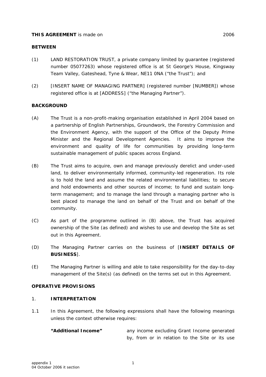#### <span id="page-4-0"></span>**THIS AGREEMENT** is made on 2006

- (1) LAND RESTORATION TRUST, a private company limited by guarantee (registered number 05077263) whose registered office is at St George's House, Kingsway Team Valley, Gateshead, Tyne & Wear, NE11 0NA ("the Trust"); and
- (2) [INSERT NAME OF MANAGING PARTNER] (registered number [NUMBER]) whose registered office is at [ADDRESS] ("the Managing Partner").

#### **BACKGROUND**

- (A) The Trust is a non-profit-making organisation established in April 2004 based on a partnership of English Partnerships, Groundwork, the Forestry Commission and the Environment Agency, with the support of the Office of the Deputy Prime Minister and the Regional Development Agencies. It aims to improve the environment and quality of life for communities by providing long-term sustainable management of public spaces across England.
- (B) The Trust aims to acquire, own and manage previously derelict and under-used land, to deliver environmentally informed, community-led regeneration. Its role is to hold the land and assume the related environmental liabilities; to secure and hold endowments and other sources of income; to fund and sustain longterm management; and to manage the land through a managing partner who is best placed to manage the land on behalf of the Trust and on behalf of the community.
- (C) As part of the programme outlined in (B) above, the Trust has acquired ownership of the Site (as defined) and wishes to use and develop the Site as set out in this Agreement.
- (D) The Managing Partner carries on the business of [**INSERT DETAILS OF BUSINESS**].
- (E) The Managing Partner is willing and able to take responsibility for the day-to-day management of the Site(s) (as defined) on the terms set out in this Agreement.

#### **OPERATIVE PROVISIONS**

#### 1. **INTERPRETATION**

1.1 In this Agreement, the following expressions shall have the following meanings unless the context otherwise requires:

**"Additional Income"** any income excluding Grant Income generated by, from or in relation to the Site or its use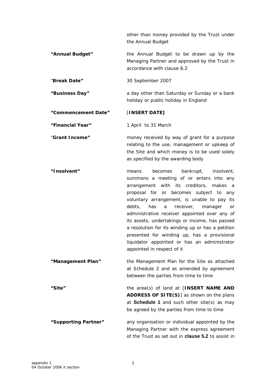other than money provided by the Trust under the Annual Budget **"Annual Budget"** the Annual Budget to be drawn up by the Managing Partner and approved by the Trust in accordance with clause 6.2 "**Break Date"** 30 September 2007 **"Business Day"** a day other than Saturday or Sunday or a bank holiday or public holiday in England **"Commencement Date"** [**INSERT DATE] "Financial Year"** 1 April to 31 March "**Grant Income"** money received by way of grant for a purpose relating to the use, management or upkeep of the Site and which money is to be used solely as specified by the awarding body **"Insolvent"** means becomes bankrupt, insolvent, summons a meeting of or enters into any arrangement with its creditors, makes a proposal for or becomes subject to any voluntary arrangement, is unable to pay its debts, has a receiver, manager or administrative receiver appointed over any of its assets, undertakings or income, has passed a resolution for its winding up or has a petition presented for winding up, has a provisional liquidator appointed or has an administrator appointed in respect of it the Management Plan for the Site as attached at Schedule 2 and as amended by agreement between the parties from time to time **"Management Plan"** the area(s) of land at [**INSERT NAME AND ADDRESS OF SITE(S)**] as shown on the plans at **Schedule 1** and such other site(s) as may be agreed by the parties from time to time **"Site" "Supporting Partner"** any organisation or individual appointed by the Managing Partner with the express agreement of the Trust as set out in **clause 5.2** to assist in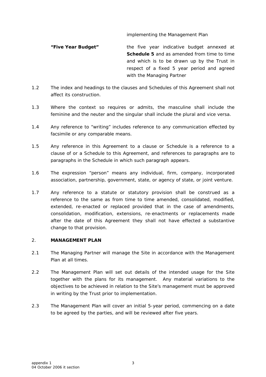#### implementing the Management Plan

<span id="page-6-0"></span>**"Five Year Budget"** the five year indicative budget annexed at **Schedule 5** and as amended from time to time and which is to be drawn up by the Trust in respect of a fixed 5 year period and agreed with the Managing Partner

- 1.2 The index and headings to the clauses and Schedules of this Agreement shall not affect its construction.
- 1.3 Where the context so requires or admits, the masculine shall include the feminine and the neuter and the singular shall include the plural and vice versa.
- 1.4 Any reference to "writing" includes reference to any communication effected by facsimile or any comparable means.
- 1.5 Any reference in this Agreement to a clause or Schedule is a reference to a clause of or a Schedule to this Agreement, and references to paragraphs are to paragraphs in the Schedule in which such paragraph appears.
- 1.6 The expression "person" means any individual, firm, company, incorporated association, partnership, government, state, or agency of state, or joint venture.
- 1.7 Any reference to a statute or statutory provision shall be construed as a reference to the same as from time to time amended, consolidated, modified, extended, re-enacted or replaced provided that in the case of amendments, consolidation, modification, extensions, re-enactments or replacements made after the date of this Agreement they shall not have effected a substantive change to that provision.

#### 2. **MANAGEMENT PLAN**

- 2.1 The Managing Partner will manage the Site in accordance with the Management Plan at all times.
- 2.2 The Management Plan will set out details of the intended usage for the Site together with the plans for its management. Any material variations to the objectives to be achieved in relation to the Site's management must be approved in writing by the Trust prior to implementation.
- 2.3 The Management Plan will cover an initial 5-year period, commencing on a date to be agreed by the parties, and will be reviewed after five years.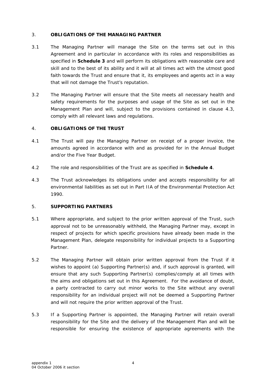#### <span id="page-7-0"></span>3. **OBLIGATIONS OF THE MANAGING PARTNER**

- 3.1 The Managing Partner will manage the Site on the terms set out in this Agreement and in particular in accordance with its roles and responsibilities as specified in **Schedule 3** and will perform its obligations with reasonable care and skill and to the best of its ability and it will at all times act with the utmost good faith towards the Trust and ensure that it, its employees and agents act in a way that will not damage the Trust's reputation.
- 3.2 The Managing Partner will ensure that the Site meets all necessary health and safety requirements for the purposes and usage of the Site as set out in the Management Plan and will, subject to the provisions contained in clause 4.3, comply with all relevant laws and regulations.

#### 4. **OBLIGATIONS OF THE TRUST**

- 4.1 The Trust will pay the Managing Partner on receipt of a proper invoice, the amounts agreed in accordance with and as provided for in the Annual Budget and/or the Five Year Budget.
- 4.2 The role and responsibilities of the Trust are as specified in **Schedule 4**.
- 4.3 The Trust acknowledges its obligations under and accepts responsibility for all environmental liabilities as set out in Part IIA of the Environmental Protection Act 1990.

#### 5. **SUPPORTING PARTNERS**

- 5.1 Where appropriate, and subject to the prior written approval of the Trust, such approval not to be unreasonably withheld, the Managing Partner may, except in respect of projects for which specific provisions have already been made in the Management Plan, delegate responsibility for individual projects to a Supporting Partner.
- 5.2 The Managing Partner will obtain prior written approval from the Trust if it wishes to appoint (a) Supporting Partner(s) and, if such approval is granted, will ensure that any such Supporting Partner(s) complies/comply at all times with the aims and obligations set out in this Agreement. For the avoidance of doubt, a party contracted to carry out minor works to the Site without any overall responsibility for an individual project will not be deemed a Supporting Partner and will not require the prior written approval of the Trust.
- 5.3 If a Supporting Partner is appointed, the Managing Partner will retain overall responsibility for the Site and the delivery of the Management Plan and will be responsible for ensuring the existence of appropriate agreements with the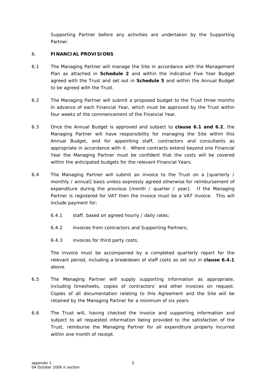<span id="page-8-0"></span>Supporting Partner before any activities are undertaken by the Supporting Partner.

#### 6. **FINANCIAL PROVISIONS**

- 6.1 The Managing Partner will manage the Site in accordance with the Management Plan as attached in **Schedule 2** and within the indicative Five Year Budget agreed with the Trust and set out in **Schedule 5** and within the Annual Budget to be agreed with the Trust.
- 6.2 The Managing Partner will submit a proposed budget to the Trust three months in advance of each Financial Year, which must be approved by the Trust within four weeks of the commencement of the Financial Year.
- 6.3 Once the Annual Budget is approved and subject to **clause 6.1 and 6.2**, the Managing Partner will have responsibility for managing the Site within this Annual Budget, and for appointing staff, contractors and consultants as appropriate in accordance with it. Where contracts extend beyond one Financial Year the Managing Partner must be confident that the costs will be covered within the anticipated budgets for the relevant Financial Years.
- 6.4 The Managing Partner will submit an invoice to the Trust on a [quarterly / monthly / annual] basis unless expressly agreed otherwise for reimbursement of expenditure during the previous [month / quarter / year]. If the Managing Partner is registered for VAT then the invoice must be a VAT invoice. This will include payment for:
	- 6.4.1 staff, based on agreed hourly / daily rates;
	- 6.4.2 invoices from contractors and Supporting Partners;
	- 6.4.3 invoices for third party costs.

The invoice must be accompanied by a completed quarterly report for the relevant period, including a breakdown of staff costs as set out in **clause 6.4.1** above.

- 6.5 The Managing Partner will supply supporting information as appropriate, including timesheets, copies of contractors' and other invoices on request. Copies of all documentation relating to this Agreement and the Site will be retained by the Managing Partner for a minimum of six years.
- 6.6 The Trust will, having checked the invoice and supporting information and subject to all requested information being provided to the satisfaction of the Trust, reimburse the Managing Partner for all expenditure properly incurred within one month of receipt.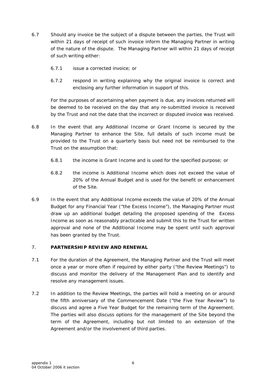- <span id="page-9-0"></span>6.7 Should any invoice be the subject of a dispute between the parties, the Trust will within 21 days of receipt of such invoice inform the Managing Partner in writing of the nature of the dispute. The Managing Partner will within 21 days of receipt of such writing either:
	- 6.7.1 issue a corrected invoice; or
	- 6.7.2 respond in writing explaining why the original invoice is correct and enclosing any further information in support of this.

For the purposes of ascertaining when payment is due, any invoices returned will be deemed to be received on the day that any re-submitted invoice is received by the Trust and not the date that the incorrect or disputed invoice was received.

- 6.8 In the event that any Additional Income or Grant Income is secured by the Managing Partner to enhance the Site, full details of such income must be provided to the Trust on a quarterly basis but need not be reimbursed to the Trust on the assumption that:
	- 6.8.1 the income is Grant Income and is used for the specified purpose; or
	- 6.8.2 the income is Additional Income which does not exceed the value of 20% of the Annual Budget and is used for the benefit or enhancement of the Site.
- 6.9 In the event that any Additional Income exceeds the value of 20% of the Annual Budget for any Financial Year ("the Excess Income"), the Managing Partner must draw up an additional budget detailing the proposed spending of the Excess Income as soon as reasonably practicable and submit this to the Trust for written approval and none of the Additional Income may be spent until such approval has been granted by the Trust.

#### 7. **PARTNERSHIP REVIEW AND RENEWAL**

- 7.1 For the duration of the Agreement, the Managing Partner and the Trust will meet once a year or more often if required by either party ("the Review Meetings") to discuss and monitor the delivery of the Management Plan and to identify and resolve any management issues.
- 7.2 In addition to the Review Meetings, the parties will hold a meeting on or around the fifth anniversary of the Commencement Date ("the Five Year Review") to discuss and agree a Five Year Budget for the remaining term of the Agreement. The parties will also discuss options for the management of the Site beyond the term of the Agreement, including but not limited to an extension of the Agreement and/or the involvement of third parties.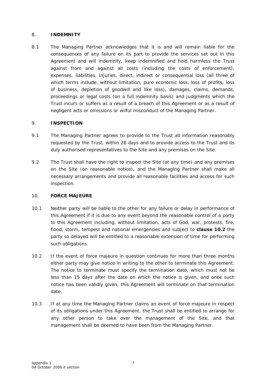#### <span id="page-10-0"></span>8. **INDEMNITY**

8.1 The Managing Partner acknowledges that it is and will remain liable for the consequences of any failure on its part to provide the services set out in this Agreement and will indemnify, keep indemnified and hold harmless the Trust against from and against all costs (including the costs of enforcement), expenses, liabilities, injuries, direct, indirect or consequential loss (all three of which terms include, without limitation, pure economic loss, loss of profits, loss of business, depletion of goodwill and like loss), damages, claims, demands, proceedings or legal costs (on a full indemnity basis) and judgments which the Trust incurs or suffers as a result of a breach of this Agreement or as a result of negligent acts or omissions or wilful misconduct of the Managing Partner.

#### 9. **INSPECTION**

- 9.1 The Managing Partner agrees to provide to the Trust all information reasonably requested by the Trust, within 28 days and to provide access to the Trust and its duly authorised representatives to the Site and any premises on the Site.
- 9.2 The Trust shall have the right to inspect the Site (at any time) and any premises on the Site (on reasonable notice), and the Managing Partner shall make all necessary arrangements and provide all reasonable facilities and access for such inspection.

#### 10. **FORCE MAJEURE**

- 10.1 Neither party will be liable to the other for any failure or delay in performance of this Agreement if it is due to any event beyond the reasonable control of a party to this Agreement including, without limitation, acts of God, war, protests, fire, flood, storm, tempest and national emergencies and subject to **clause 10.2** the party so delayed will be entitled to a reasonable extension of time for performing such obligations.
- 10.2 If the event of force majeure in question continues for more than three months either party may give notice in writing to the other to terminate this Agreement. The notice to terminate must specify the termination date, which must not be less than 15 days after the date on which the notice is given, and once such notice has been validly given, this Agreement will terminate on that termination date.
- 10.3 If at any time the Managing Partner claims an event of force majeure in respect of its obligations under this Agreement, the Trust shall be entitled to arrange for any other person to take over the management of the Site, and that management shall be deemed to have been from the Managing Partner.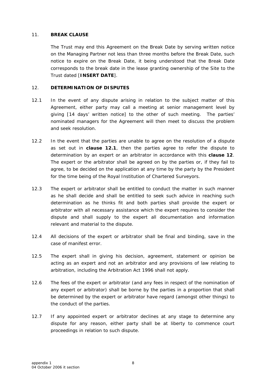#### <span id="page-11-0"></span>11. **BREAK CLAUSE**

The Trust may end this Agreement on the Break Date by serving written notice on the Managing Partner not less than three months before the Break Date, such notice to expire on the Break Date, it being understood that the Break Date corresponds to the break date in the lease granting ownership of the Site to the Trust dated [**INSERT DATE**].

#### 12. **DETERMINATION OF DISPUTES**

- 12.1 In the event of any dispute arising in relation to the subject matter of this Agreement, either party may call a meeting at senior management level by giving [14 days' written notice] to the other of such meeting. The parties' nominated managers for the Agreement will then meet to discuss the problem and seek resolution.
- 12.2 In the event that the parties are unable to agree on the resolution of a dispute as set out in **clause 12.1**, then the parties agree to refer the dispute to determination by an expert or an arbitrator in accordance with this **clause 12**. The expert or the arbitrator shall be agreed on by the parties or, if they fail to agree, to be decided on the application at any time by the party by the President for the time being of the Royal Institution of Chartered Surveyors.
- 12.3 The expert or arbitrator shall be entitled to conduct the matter in such manner as he shall decide and shall be entitled to seek such advice in reaching such determination as he thinks fit and both parties shall provide the expert or arbitrator with all necessary assistance which the expert requires to consider the dispute and shall supply to the expert all documentation and information relevant and material to the dispute.
- 12.4 All decisions of the expert or arbitrator shall be final and binding, save in the case of manifest error.
- 12.5 The expert shall in giving his decision, agreement, statement or opinion be acting as an expert and not an arbitrator and any provisions of law relating to arbitration, including the Arbitration Act 1996 shall not apply.
- 12.6 The fees of the expert or arbitrator (and any fees in respect of the nomination of any expert or arbitrator) shall be borne by the parties in a proportion that shall be determined by the expert or arbitrator have regard (amongst other things) to the conduct of the parties.
- 12.7 If any appointed expert or arbitrator declines at any stage to determine any dispute for any reason, either party shall be at liberty to commence court proceedings in relation to such dispute.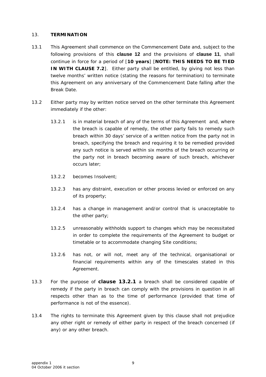#### <span id="page-12-0"></span>13. **TERMINATION**

- 13.1 This Agreement shall commence on the Commencement Date and, subject to the following provisions of this **clause 12** and the provisions of **clause 11**, shall continue in force for a period of [**10 years**] [**NOTE: THIS NEEDS TO BE TIED IN WITH CLAUSE 7.2**]. Either party shall be entitled, by giving not less than twelve months' written notice (stating the reasons for termination) to terminate this Agreement on any anniversary of the Commencement Date falling after the Break Date.
- 13.2 Either party may by written notice served on the other terminate this Agreement immediately if the other:
	- 13.2.1 is in material breach of any of the terms of this Agreement and, where the breach is capable of remedy, the other party fails to remedy such breach within 30 days' service of a written notice from the party not in breach, specifying the breach and requiring it to be remedied provided any such notice is served within six months of the breach occurring or the party not in breach becoming aware of such breach, whichever occurs later;
	- 13.2.2 becomes Insolvent;
	- 13.2.3 has any distraint, execution or other process levied or enforced on any of its property;
	- 13.2.4 has a change in management and/or control that is unacceptable to the other party;
	- 13.2.5 unreasonably withholds support to changes which may be necessitated in order to complete the requirements of the Agreement to budget or timetable or to accommodate changing Site conditions;
	- 13.2.6 has not, or will not, meet any of the technical, organisational or financial requirements within any of the timescales stated in this Agreement.
- 13.3 For the purpose of **clause 13.2.1** a breach shall be considered capable of remedy if the party in breach can comply with the provisions in question in all respects other than as to the time of performance (provided that time of performance is not of the essence).
- 13.4 The rights to terminate this Agreement given by this clause shall not prejudice any other right or remedy of either party in respect of the breach concerned (if any) or any other breach.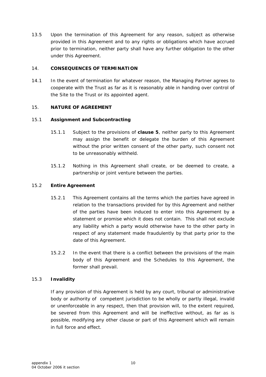<span id="page-13-0"></span>13.5 Upon the termination of this Agreement for any reason, subject as otherwise provided in this Agreement and to any rights or obligations which have accrued prior to termination, neither party shall have any further obligation to the other under this Agreement.

#### 14. **CONSEQUENCES OF TERMINATION**

14.1 In the event of termination for whatever reason, the Managing Partner agrees to cooperate with the Trust as far as it is reasonably able in handing over control of the Site to the Trust or its appointed agent.

#### 15. **NATURE OF AGREEMENT**

#### 15.1 **Assignment and Subcontracting**

- 15.1.1 Subject to the provisions of **clause 5**, neither party to this Agreement may assign the benefit or delegate the burden of this Agreement without the prior written consent of the other party, such consent not to be unreasonably withheld.
- 15.1.2 Nothing in this Agreement shall create, or be deemed to create, a partnership or joint venture between the parties.

#### 15.2 **Entire Agreement**

- 15.2.1 This Agreement contains all the terms which the parties have agreed in relation to the transactions provided for by this Agreement and neither of the parties have been induced to enter into this Agreement by a statement or promise which it does not contain. This shall not exclude any liability which a party would otherwise have to the other party in respect of any statement made fraudulently by that party prior to the date of this Agreement.
- 15.2.2 In the event that there is a conflict between the provisions of the main body of this Agreement and the Schedules to this Agreement, the former shall prevail.

#### 15.3 **Invalidity**

If any provision of this Agreement is held by any court, tribunal or administrative body or authority of competent jurisdiction to be wholly or partly illegal, invalid or unenforceable in any respect, then that provision will, to the extent required, be severed from this Agreement and will be ineffective without, as far as is possible, modifying any other clause or part of this Agreement which will remain in full force and effect.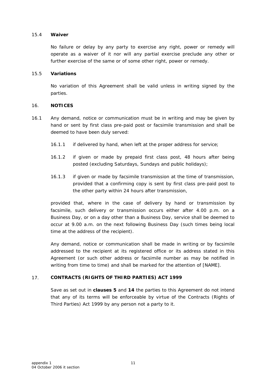#### <span id="page-14-0"></span>15.4 **Waiver**

No failure or delay by any party to exercise any right, power or remedy will operate as a waiver of it nor will any partial exercise preclude any other or further exercise of the same or of some other right, power or remedy.

#### 15.5 **Variations**

No variation of this Agreement shall be valid unless in writing signed by the parties.

#### 16. **NOTICES**

- 16.1 Any demand, notice or communication must be in writing and may be given by hand or sent by first class pre-paid post or facsimile transmission and shall be deemed to have been duly served:
	- 16.1.1 if delivered by hand, when left at the proper address for service;
	- 16.1.2 if given or made by prepaid first class post, 48 hours after being posted (excluding Saturdays, Sundays and public holidays);
	- 16.1.3 if given or made by facsimile transmission at the time of transmission, provided that a confirming copy is sent by first class pre-paid post to the other party within 24 hours after transmission,

provided that, where in the case of delivery by hand or transmission by facsimile, such delivery or transmission occurs either after 4.00 p.m. on a Business Day, or on a day other than a Business Day, service shall be deemed to occur at 9.00 a.m. on the next following Business Day (such times being local time at the address of the recipient).

Any demand, notice or communication shall be made in writing or by facsimile addressed to the recipient at its registered office or its address stated in this Agreement (or such other address or facsimile number as may be notified in writing from time to time) and shall be marked for the attention of [NAME].

#### 17. **CONTRACTS (RIGHTS OF THIRD PARTIES) ACT 1999**

Save as set out in **clauses 5** and **14** the parties to this Agreement do not intend that any of its terms will be enforceable by virtue of the Contracts (Rights of Third Parties) Act 1999 by any person not a party to it.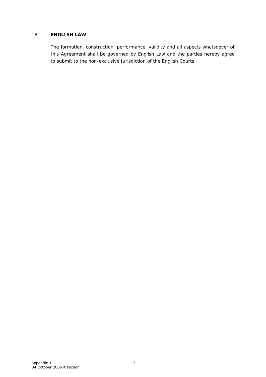#### <span id="page-15-0"></span>18. **ENGLISH LAW**

The formation, construction, performance, validity and all aspects whatsoever of this Agreement shall be governed by English Law and the parties hereby agree to submit to the non-exclusive jurisdiction of the English Courts.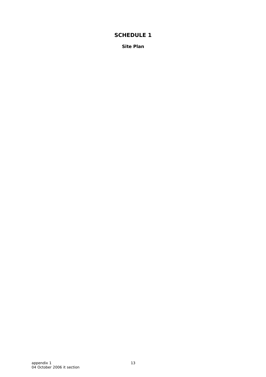<span id="page-16-1"></span><span id="page-16-0"></span>**Site Plan**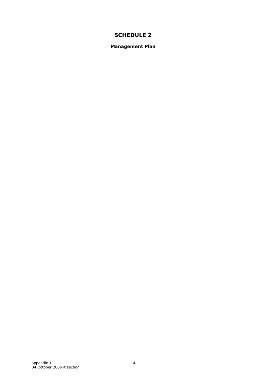<span id="page-17-1"></span><span id="page-17-0"></span>**Management Plan**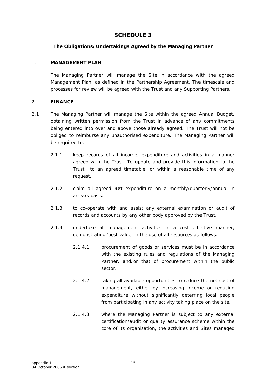#### **The Obligations/Undertakings Agreed by the Managing Partner**

#### <span id="page-18-1"></span><span id="page-18-0"></span>1. **MANAGEMENT PLAN**

The Managing Partner will manage the Site in accordance with the agreed Management Plan, as defined in the Partnership Agreement. The timescale and processes for review will be agreed with the Trust and any Supporting Partners.

#### 2. **FINANCE**

- 2.1 The Managing Partner will manage the Site within the agreed Annual Budget, obtaining written permission from the Trust in advance of any commitments being entered into over and above those already agreed. The Trust will not be obliged to reimburse any unauthorised expenditure. The Managing Partner will be required to:
	- 2.1.1 keep records of all income, expenditure and activities in a manner agreed with the Trust. To update and provide this information to the Trust to an agreed timetable, or within a reasonable time of any request.
	- 2.1.2 claim all agreed **net** expenditure on a monthly/quarterly/annual in arrears basis.
	- 2.1.3 to co-operate with and assist any external examination or audit of records and accounts by any other body approved by the Trust.
	- 2.1.4 undertake all management activities in a cost effective manner, demonstrating 'best value' in the use of all resources as follows:
		- 2.1.4.1 procurement of goods or services must be in accordance with the existing rules and regulations of the Managing Partner, and/or that of procurement within the public sector.
		- 2.1.4.2 taking all available opportunities to reduce the net cost of management, either by increasing income or reducing expenditure without significantly deterring local people from participating in any activity taking place on the site.
		- 2.1.4.3 where the Managing Partner is subject to any external certification/audit or quality assurance scheme within the core of its organisation, the activities and Sites managed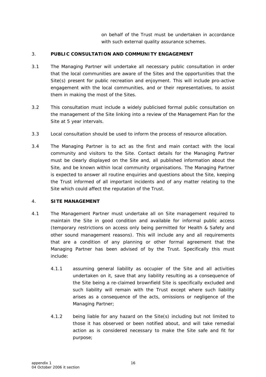on behalf of the Trust must be undertaken in accordance with such external quality assurance schemes.

#### 3. **PUBLIC CONSULTATION AND COMMUNITY ENGAGEMENT**

- 3.1 The Managing Partner will undertake all necessary public consultation in order that the local communities are aware of the Sites and the opportunities that the Site(s) present for public recreation and enjoyment. This will include pro-active engagement with the local communities, and or their representatives, to assist them in making the most of the Sites.
- 3.2 This consultation must include a widely publicised formal public consultation on the management of the Site linking into a review of the Management Plan for the Site at 5 year intervals.
- 3.3 Local consultation should be used to inform the process of resource allocation.
- 3.4 The Managing Partner is to act as the first and main contact with the local community and visitors to the Site. Contact details for the Managing Partner must be clearly displayed on the Site and, all published information about the Site, and be known within local community organisations. The Managing Partner is expected to answer all routine enquiries and questions about the Site, keeping the Trust informed of all important incidents and of any matter relating to the Site which could affect the reputation of the Trust.

#### 4. **SITE MANAGEMENT**

- 4.1 The Management Partner must undertake all on Site management required to maintain the Site in good condition and available for informal public access (temporary restrictions on access only being permitted for Health & Safety and other sound management reasons). This will include any and all requirements that are a condition of any planning or other formal agreement that the Managing Partner has been advised of by the Trust. Specifically this must include:
	- 4.1.1 assuming general liability as occupier of the Site and all activities undertaken on it, save that any liability resulting as a consequence of the Site being a re-claimed brownfield Site is specifically excluded and such liability will remain with the Trust except where such liability arises as a consequence of the acts, omissions or negligence of the Managing Partner;
	- 4.1.2 being liable for any hazard on the Site(s) including but not limited to those it has observed or been notified about, and will take remedial action as is considered necessary to make the Site safe and fit for purpose;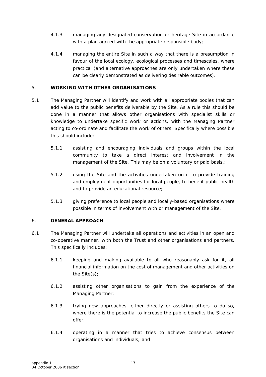- 4.1.3 managing any designated conservation or heritage Site in accordance with a plan agreed with the appropriate responsible body;
- 4.1.4 managing the entire Site in such a way that there is a presumption in favour of the local ecology, ecological processes and timescales, where practical (and alternative approaches are only undertaken where these can be clearly demonstrated as delivering desirable outcomes).

#### 5. **WORKING WITH OTHER ORGANISATIONS**

- 5.1 The Managing Partner will identify and work with all appropriate bodies that can add value to the public benefits deliverable by the Site. As a rule this should be done in a manner that allows other organisations with specialist skills or knowledge to undertake specific work or actions, with the Managing Partner acting to co-ordinate and facilitate the work of others. Specifically where possible this should include:
	- 5.1.1 assisting and encouraging individuals and groups within the local community to take a direct interest and involvement in the management of the Site. This may be on a voluntary or paid basis.;
	- 5.1.2 using the Site and the activities undertaken on it to provide training and employment opportunities for local people, to benefit public health and to provide an educational resource;
	- 5.1.3 giving preference to local people and locally-based organisations where possible in terms of involvement with or management of the Site.

#### 6. **GENERAL APPROACH**

- 6.1 The Managing Partner will undertake all operations and activities in an open and co-operative manner, with both the Trust and other organisations and partners. This specifically includes:
	- 6.1.1 keeping and making available to all who reasonably ask for it, all financial information on the cost of management and other activities on the Site(s);
	- 6.1.2 assisting other organisations to gain from the experience of the Managing Partner;
	- 6.1.3 trying new approaches, either directly or assisting others to do so, where there is the potential to increase the public benefits the Site can offer;
	- 6.1.4 operating in a manner that tries to achieve consensus between organisations and individuals; and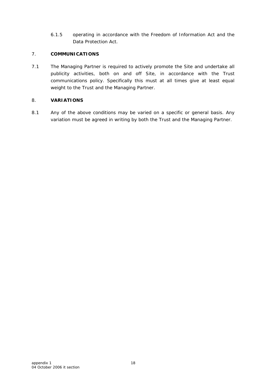6.1.5 operating in accordance with the *Freedom of Information Act* and the *Data Protection Act*.

#### 7. **COMMUNICATIONS**

7.1 The Managing Partner is required to actively promote the Site and undertake all publicity activities, both on and off Site, in accordance with the Trust communications policy. Specifically this must at all times give at least equal weight to the Trust and the Managing Partner.

#### 8. **VARIATIONS**

8.1 Any of the above conditions may be varied on a specific or general basis. Any variation must be agreed in writing by both the Trust and the Managing Partner.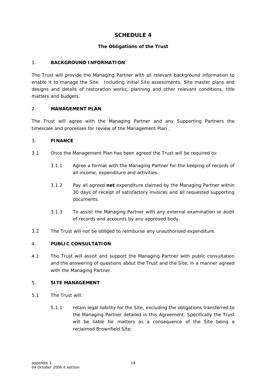#### **The Obligations of the Trust**

#### <span id="page-22-1"></span><span id="page-22-0"></span>1. **BACKGROUND INFORMATION**

The Trust will provide the Managing Partner with all relevant background information to enable it to manage the Site. Including initial Site assessments, Site master plans and designs and details of restoration works, planning and other relevant conditions, title matters and budgets.

#### 2. **MANAGEMENT PLAN**

The Trust will agree with the Managing Partner and any Supporting Partners the timescale and processes for review of the Management Plan .

#### 3. **FINANCE**

- 3.1 Once the Management Plan has been agreed the Trust will be required to:
	- 3.1.1 Agree a format with the Managing Partner for the keeping of records of all income, expenditure and activities.
	- 3.1.2 Pay all agreed **net** expenditure claimed by the Managing Partner within 30 days of receipt of satisfactory invoices and all requested supporting documents.
	- 3.1.3 To assist the Managing Partner with any external examination or audit of records and accounts by any approved body.
- 3.2 The Trust will not be obliged to reimburse any unauthorised expenditure.

#### 4. **PUBLIC CONSULTATION**

4.1 The Trust will assist and support the Managing Partner with public consultation and the answering of questions about the Trust and the Site, in a manner agreed with the Managing Partner.

#### 5. **SITE MANAGEMENT**

- 5.1 The Trust will:
	- 5.1.1 retain legal liability for the Site, excluding the obligations transferred to the Managing Partner detailed in this Agreement. Specifically the Trust will be liable for matters as a consequence of the Site being a reclaimed Brownfield Site;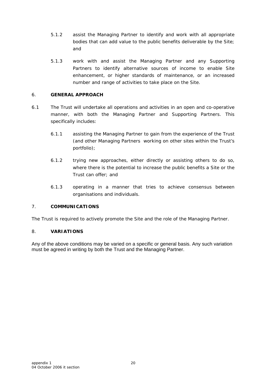- 5.1.2 assist the Managing Partner to identify and work with all appropriate bodies that can add value to the public benefits deliverable by the Site; and
- 5.1.3 work with and assist the Managing Partner and any Supporting Partners to identify alternative sources of income to enable Site enhancement, or higher standards of maintenance, or an increased number and range of activities to take place on the Site.

#### 6. **GENERAL APPROACH**

- 6.1 The Trust will undertake all operations and activities in an open and co-operative manner, with both the Managing Partner and Supporting Partners. This specifically includes:
	- 6.1.1 assisting the Managing Partner to gain from the experience of the Trust (and other Managing Partners working on other sites within the Trust's portfolio);
	- 6.1.2 trying new approaches, either directly or assisting others to do so, where there is the potential to increase the public benefits a Site or the Trust can offer; and
	- 6.1.3 operating in a manner that tries to achieve consensus between organisations and individuals.

#### 7. **COMMUNICATIONS**

The Trust is required to actively promote the Site and the role of the Managing Partner.

#### 8. **VARIATIONS**

Any of the above conditions may be varied on a specific or general basis. Any such variation must be agreed in writing by both the Trust and the Managing Partner.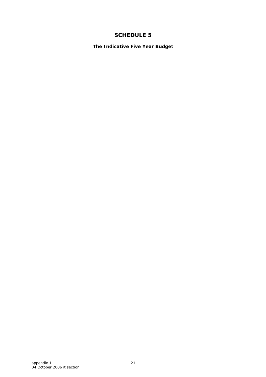<span id="page-24-1"></span><span id="page-24-0"></span>**The Indicative Five Year Budget**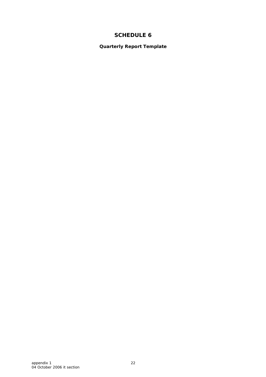<span id="page-25-1"></span><span id="page-25-0"></span>**Quarterly Report Template**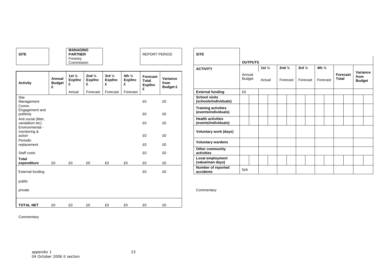|             | MANAGING       |                      |             |
|-------------|----------------|----------------------|-------------|
| <b>SITE</b> | <b>PARTNER</b> | <b>REPORT PERIOD</b> | <b>SITE</b> |
|             | Forestrv       |                      |             |
|             | Commission     |                      |             |

| Activity                                                  | Annual<br><b>Budget</b><br>£ | 1st $\frac{1}{4}$<br>Exp/Inc<br>£ | 2nd $\frac{1}{4}$<br>Exp/Inc<br>£ | 3rd $\frac{1}{4}$<br>Exp/Inc<br>£ | 4th $\frac{1}{4}$<br>Exp/Inc<br>£ | <b>Forecast</b><br>Total<br>Exp/Inc<br>£ | Variance<br>from<br><b>Budget £</b> |
|-----------------------------------------------------------|------------------------------|-----------------------------------|-----------------------------------|-----------------------------------|-----------------------------------|------------------------------------------|-------------------------------------|
|                                                           |                              | Actual                            | Forecast                          | Forecast                          | Forecast                          |                                          |                                     |
| Site<br>Management                                        |                              |                                   |                                   |                                   |                                   | £0                                       | £0                                  |
| Comm.<br>Engagement and<br>publicity                      |                              |                                   |                                   |                                   |                                   | £0                                       | £0                                  |
| Anti social (litter,<br>vandalism etc)<br>Environmental - |                              |                                   |                                   |                                   |                                   | £0                                       | £0                                  |
| monitoring &<br>action                                    |                              |                                   |                                   |                                   |                                   | £0                                       | £0                                  |
| Periodic<br>replacement                                   |                              |                                   |                                   |                                   |                                   | £0                                       | £0                                  |
| Staff costs                                               |                              |                                   |                                   |                                   |                                   | £0                                       | £0                                  |
| Total<br>expenditure                                      | £0                           | £0                                | £0                                | £0                                | £0                                | £0                                       | £0                                  |
| <b>External funding</b>                                   |                              |                                   |                                   |                                   |                                   | £0                                       | £0                                  |
| public                                                    |                              |                                   |                                   |                                   |                                   |                                          |                                     |
| private                                                   |                              |                                   |                                   |                                   |                                   |                                          |                                     |
| <b>TOTAL NET</b>                                          | £0                           | £0                                | £0                                | £0                                | £0                                | £0                                       | £0                                  |

| <b>SITE</b>                               |                              | <b>MANAGING</b><br><b>PARTNER</b><br>Forestry<br>Commission |                                   |                                   |                                   | REPORT PERIOD                     |                                     | <b>SITE</b>                                        | <b>OUTPUTS</b>          |                   |                   |          |                   |                   |                          |                                   |  |
|-------------------------------------------|------------------------------|-------------------------------------------------------------|-----------------------------------|-----------------------------------|-----------------------------------|-----------------------------------|-------------------------------------|----------------------------------------------------|-------------------------|-------------------|-------------------|----------|-------------------|-------------------|--------------------------|-----------------------------------|--|
|                                           |                              |                                                             |                                   |                                   |                                   |                                   |                                     | <b>ACTIVITY</b>                                    |                         | 1st $\frac{1}{4}$ | 2nd $\frac{1}{4}$ |          | 3rd $\frac{1}{4}$ | 4th $\frac{1}{4}$ |                          |                                   |  |
| Activity                                  | Annual<br><b>Budget</b><br>£ | 1st $\frac{1}{4}$<br>Exp/Inc                                | 2nd $\frac{1}{4}$<br>Exp/Inc<br>£ | 3rd $\frac{1}{4}$<br>Exp/Inc<br>£ | 4th $\frac{1}{4}$<br>Exp/Inc<br>£ | Forecast<br>Total<br>Exp/Inc<br>£ | Variance<br>from<br><b>Budget £</b> |                                                    | Annual<br><b>Budget</b> | Actual            |                   | Forecast | Forecast          | Forecast          | Forecast<br><b>Total</b> | Variance<br>from<br><b>Budget</b> |  |
|                                           |                              | Actual                                                      | Forecast                          | Forecast                          | Forecast                          |                                   |                                     | <b>External funding</b>                            | £0                      |                   |                   |          |                   |                   |                          |                                   |  |
| Site<br>Management                        |                              |                                                             |                                   |                                   |                                   | £0                                | £0                                  | <b>School visits</b><br>(schools/individuals)      |                         |                   |                   |          |                   |                   |                          |                                   |  |
| Comm.<br>Engagement and<br>publicity      |                              |                                                             |                                   |                                   |                                   | £0                                | £0                                  | <b>Training activities</b><br>(events/individuals) |                         |                   |                   |          |                   |                   |                          |                                   |  |
| Anti social (litter,<br>vandalism etc)    |                              |                                                             |                                   |                                   |                                   | £0                                | £0                                  | <b>Health activities</b><br>(events/individuals)   |                         |                   |                   |          |                   |                   |                          |                                   |  |
| Environmental -<br>monitoring &<br>action |                              |                                                             |                                   |                                   |                                   | £0                                | £0                                  | <b>Voluntary work (days)</b>                       |                         |                   |                   |          |                   |                   |                          |                                   |  |
| Periodic<br>replacement                   |                              |                                                             |                                   |                                   |                                   | £0                                | £0                                  | <b>Voluntary wardens</b>                           |                         |                   |                   |          |                   |                   |                          |                                   |  |
| Staff costs                               |                              |                                                             |                                   |                                   |                                   | £0                                | £0                                  | <b>Other community</b><br>activities               |                         |                   |                   |          |                   |                   |                          |                                   |  |
| Total<br><u>expen</u> diture              | £0                           | £0                                                          | £0                                | £0                                | £0                                | £0                                | £0                                  | <b>Local employment</b><br>(value/man days)        |                         |                   |                   |          |                   |                   |                          |                                   |  |
| External funding                          |                              |                                                             |                                   |                                   |                                   | £0                                | £0                                  | Number of reported<br>accidents                    | N/A                     |                   |                   |          |                   |                   |                          |                                   |  |

Commentary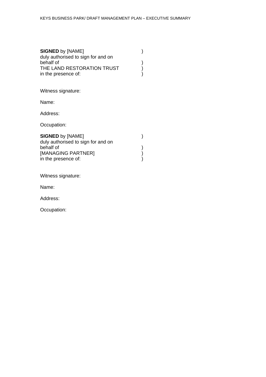| <b>SIGNED by [NAME]</b>                         |  |
|-------------------------------------------------|--|
| duly authorised to sign for and on<br>behalf of |  |
| THE LAND RESTORATION TRUST                      |  |
| in the presence of:                             |  |

Witness signature:

Name:

Address:

Occupation:

| <b>SIGNED by [NAME]</b>            |  |
|------------------------------------|--|
| duly authorised to sign for and on |  |
| behalf of                          |  |
| [MANAGING PARTNER]                 |  |
| in the presence of:                |  |

Witness signature:

Name:

Address:

Occupation: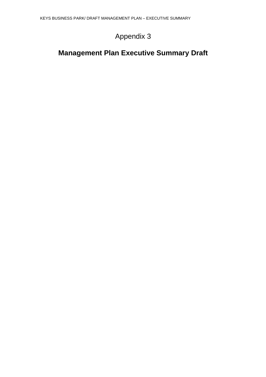## Appendix 3

## **Management Plan Executive Summary Draft**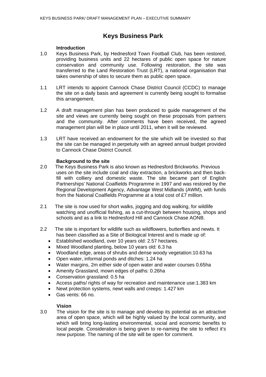## **Keys Business Park**

#### **Introduction**

- 1.0 Keys Business Park, by Hednesford Town Football Club, has been restored, providing business units and 22 hectares of public open space for nature conservation and community use. Following restoration, the site was transferred to the Land Restoration Trust (LRT), a national organisation that takes ownership of sites to secure them as public open space.
- 1.1 LRT intends to appoint Cannock Chase District Council (CCDC) to manage the site on a daily basis and agreement is currently being sought to formalise this arrangement.
- 1.2 A draft management plan has been produced to guide management of the site and views are currently being sought on these proposals from partners and the community. After comments have been received, the agreed management plan will be in place until 2011, when it will be reviewed.
- 1.3 LRT have received an endowment for the site which will be invested so that the site can be managed in perpetuity with an agreed annual budget provided to Cannock Chase District Council.

#### **Background to the site**

- 2.0 The Keys Business Park is also known as Hednesford Brickworks. Previous uses on the site include coal and clay extraction, a brickworks and then backfill with colliery and domestic waste. The site became part of English Partnerships' National Coalfields Programme in 1997 and was restored by the Regional Development Agency, Advantage West Midlands (AWM), with funds from the National Coalfields Programme at a total cost of £7 million.
- 2.1 The site is now used for short walks, jogging and dog walking, for wildlife watching and unofficial fishing, as a cut-through between housing, shops and schools and as a link to Hednesford Hill and Cannock Chase AONB.
- 2.2 The site is important for wildlife such as wildflowers, butterflies and newts. It has been classified as a Site of Biological Interest and is made up of:
	- Established woodland, over 10 years old: 2.57 hectares.
	- Mixed Woodland planting, below 10 years old: 6.3 ha
	- Woodland edge, areas of shrubs and dense woody vegetation:10.63 ha
	- Open water, informal ponds and ditches: 1.24 ha
	- Water margins, 2m either side of open water and water courses 0.65ha
	- Amenity Grassland, mown edges of paths: 0.26ha
	- Conservation grassland: 0.5 ha
	- Access paths/ rights of way for recreation and maintenance use:1.383 km
	- Newt protection systems, newt walls and creeps: 1.427 km
	- Gas vents: 66 no.

#### **Vision**

3.0 The vision for the site is to manage and develop its potential as an attractive area of open space, which will be highly valued by the local community, and which will bring long-lasting environmental, social and economic benefits to local people. Consideration is being given to re-naming the site to reflect it's new purpose. The naming of the site will be open for comment.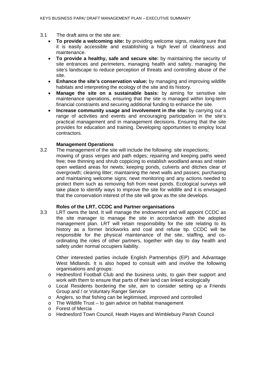- 3.1 The draft aims or the site are:
	- **To provide a welcoming site:** by providing welcome signs, making sure that it is easily accessible and establishing a high level of cleanliness and maintenance.
	- **To provide a healthy, safe and secure site:** by maintaining the security of site entrances and perimeters, managing health and safety, managing the site's landscape to reduce perception of threats and controlling abuse of the site.
	- **Enhance the site's conservation value:** by managing and improving wildlife habitats and interpreting the ecology of the site and its history.
	- **Manage the site on a sustainable basis:** by aiming for sensitive site maintenance operations, ensuring that the site is managed within long-term financial constraints and securing additional funding to enhance the site.
	- **Increase community usage and involvement in the site:** by carrying out a range of activities and events and encouraging participation in the site's practical management and in management decisions. Ensuring that the site provides for education and training. Developing opportunities to employ local contractors.

#### **Management Operations**

3.2 The management of the site will include the following: site inspections; mowing of grass verges and path edges; repairing and keeping paths weed free; tree thinning and shrub coppicing to establish woodland areas and retain open wetland areas for newts; keeping ponds, culverts and ditches clear of

overgrowth; clearing litter; maintaining the newt walls and passes; purchasing and maintaining welcome signs; newt monitoring and any actions needed to protect them such as removing fish from newt ponds. Ecological surveys will take place to identify ways to improve the site for wildlife and it is envisaged that the conservation interest of the site will grow as the site develops.

#### **Roles of the LRT, CCDC and Partner organisations**

3.3 LRT owns the land. It will manage the endowment and will appoint CCDC as the site manager to manage the site in accordance with the adopted management plan. LRT will retain responsibility for the site relating to its history as a former brickworks and coal and refuse tip. CCDC will be responsible for the physical maintenance of the site, staffing, and coordinating the roles of other partners, together with day to day health and safety under normal occupiers liability.

Other interested parties include English Partnerships (EP) and Advantage West Midlands. It is also hoped to consult with and involve the following organisations and groups:

- o Hednesford Football Club and the business units, to gain their support and work with them to ensure that parts of their land can linked ecologically
- o Local Residents bordering the site, aim to consider setting up a Friends Group and / or Voluntary Ranger Service
- o Anglers, so that fishing can be legitimised, improved and controlled
- o The Wildlife Trust to gain advice on habitat management o Forest of Mercia
- **Forest of Mercia**
- o Hednesford Town Council, Heath Hayes and Wimblebury Parish Council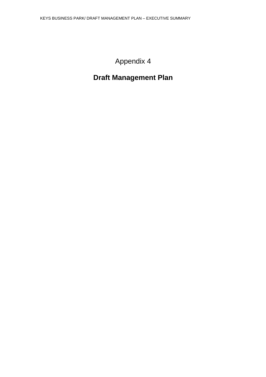## Appendix 4

## **Draft Management Plan**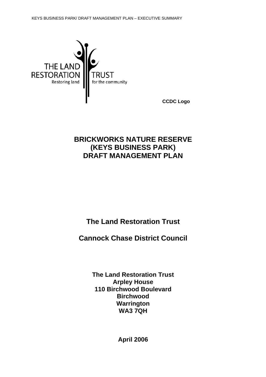

 **CCDC Logo**

## **BRICKWORKS NATURE RESERVE (KEYS BUSINESS PARK) DRAFT MANAGEMENT PLAN**

**The Land Restoration Trust** 

**Cannock Chase District Council**

**The Land Restoration Trust Arpley House 110 Birchwood Boulevard Birchwood Warrington WA3 7QH** 

**April 2006**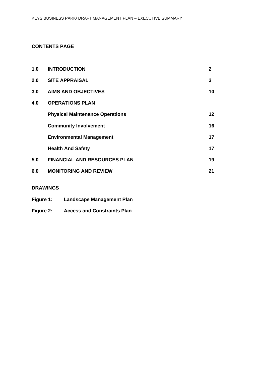#### **CONTENTS PAGE**

| 1.0 | <b>INTRODUCTION</b>                    | $\overline{2}$  |
|-----|----------------------------------------|-----------------|
| 2.0 | <b>SITE APPRAISAL</b>                  | 3               |
| 3.0 | <b>AIMS AND OBJECTIVES</b>             | 10              |
| 4.0 | <b>OPERATIONS PLAN</b>                 |                 |
|     | <b>Physical Maintenance Operations</b> | 12 <sub>2</sub> |
|     | <b>Community Involvement</b>           | 16              |
|     | <b>Environmental Management</b>        | 17              |
|     | <b>Health And Safety</b>               | 17              |
| 5.0 | <b>FINANCIAL AND RESOURCES PLAN</b>    | 19              |
| 6.0 | <b>MONITORING AND REVIEW</b>           | 21              |

#### **DRAWINGS**

**Figure 2: Access and Constraints Plan**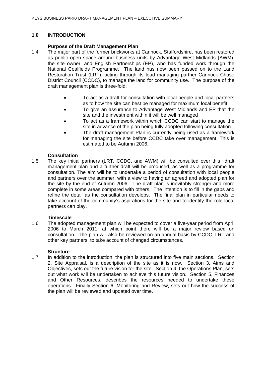#### **1.0 INTRODUCTION**

#### **Purpose of the Draft Management Plan**

- 1.4 The major part of the former brickworks at Cannock, Staffordshire, has been restored as public open space around business units by Advantage West Midlands (AWM), the site owner, and English Partnerships (EP), who has funded work through the National Coalfields Programme. The land has now been passed on to the Land Restoration Trust (LRT), acting through its lead managing partner Cannock Chase District Council (CCDC), to manage the land for community use. The purpose of the draft management plan is three-fold:
	- To act as a draft for consultation with local people and local partners as to how the site can best be managed for maximum local benefit
	- To give an assurance to Advantage West Midlands and EP that the site and the investment within it will be well managed
	- To act as a framework within which CCDC can start to manage the site in advance of the plan being fully adopted following consultation
	- The draft management Plan is currently being used as a framework for managing the site before CCDC take over management. This is estimated to be Autumn 2006.

#### **Consultation**

1.5 The key initial partners (LRT, CCDC, and AWM) will be consulted over this draft management plan and a further draft will be produced, as well as a programme for consultation. The aim will be to undertake a period of consultation with local people and partners over the summer, with a view to having an agreed and adopted plan for the site by the end of Autumn 2006. The draft plan is inevitably stronger and more complete in some areas compared with others. The intention is to fill in the gaps and refine the detail as the consultation develops. The final plan in particular needs to take account of the community's aspirations for the site and to identify the role local partners can play.

#### **Timescale**

1.6 The adopted management plan will be expected to cover a five-year period from April 2006 to March 2011, at which point there will be a major review based on consultation. The plan will also be reviewed on an annual basis by CCDC, LRT and other key partners, to take account of changed circumstances.

#### **Structure**

1.7 In addition to the introduction, the plan is structured into five main sections. Section 2, Site Appraisal, is a description of the site as it is now. Section 3, Aims and Objectives, sets out the future vision for the site. Section 4, the Operations Plan, sets out what work will be undertaken to achieve this future vision. Section 5, Finances and Other Resources, describes the resources needed to undertake these operations. Finally Section 6, Monitoring and Review, sets out how the success of the plan will be reviewed and updated over time.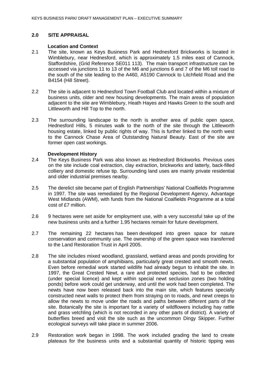#### **2.0 SITE APPRAISAL**

#### **Location and Context**

- 2.1 The site, known as Keys Business Park and Hednesford Brickworks is located in Wimblebury, near Hednesford, which is approximately 1.5 miles east of Cannock, Staffordshire, (Grid Reference SE011 113). The main transport infrastructure can be accessed via junctions 11 to 13 of the M6 and junctions 6 and 7 of the M6 toll road to the south of the site leading to the A460, A5190 Cannock to Litchfield Road and the B4154 (Hill Street).
- 2.2 The site is adjacent to Hednesford Town Football Club and located within a mixture of business units, older and new housing developments. The main areas of population adjacent to the site are Wimblebury, Heath Hayes and Hawks Green to the south and Littleworth and Hill Top to the north.
- 2.3 The surrounding landscape to the north is another area of public open space, Hednesford Hills, 5 minutes walk to the north of the site through the Littleworth housing estate, linked by public rights of way. This is further linked to the north west to the Cannock Chase Area of Outstanding Natural Beauty. East of the site are former open cast workings.

#### **Development History**

- 2.4 The Keys Business Park was also known as Hednesford Brickworks. Previous uses on the site include coal extraction, clay extraction, brickworks and latterly, back-filled colliery and domestic refuse tip. Surrounding land uses are mainly private residential and older industrial premises nearby.
- 2.5 The derelict site became part of English Partnerships' National Coalfields Programme in 1997. The site was remediated by the Regional Development Agency, Advantage West Midlands (AWM), with funds from the National Coalfields Programme at a total cost of £7 million.
- 2.6 9 hectares were set aside for employment use, with a very successful take up of the new business units and a further 1.95 hectares remain for future development.
- 2.7 The remaining 22 hectares has been developed into green space for nature conservation and community use. The ownership of the green space was transferred to the Land Restoration Trust in April 2005.
- 2.8 The site includes mixed woodland, grassland, wetland areas and ponds providing for a substantial population of amphibians, particularly great crested and smooth newts. Even before remedial work started wildlife had already begun to inhabit the site. In 1997, the Great Crested Newt, a rare and protected species, had to be collected (under special licence) and kept within special newt seclusion zones (two holding ponds) before work could get underway, and until the work had been completed. The newts have now been released back into the main site, which features specially constructed newt walls to protect them from straying on to roads, and newt creeps to allow the newts to move under the roads and paths between different parts of the site. Botanically the site is important for a variety of wildflowers including hay rattle and grass vetchling (which is not recorded in any other parts of district). A variety of butterflies breed and visit the site such as the uncommon Dingy Skipper. Further ecological surveys will take place in summer 2006.
- 2.9 Restoration work began in 1998. The work included grading the land to create plateaus for the business units and a substantial quantity of historic tipping was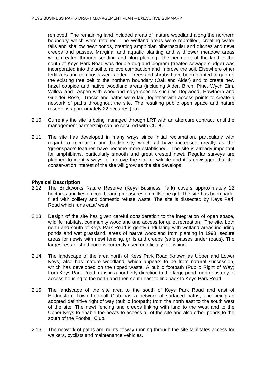removed. The remaining land included areas of mature woodland along the northern boundary which were retained. The wetland areas were reprofiled, creating water falls and shallow newt ponds, creating amphibian hibernacular and ditches and newt creeps and passes. Marginal and aquatic planting and wildflower meadow areas were created through seeding and plug planting. The perimeter of the land to the south of Keys Park Road was double-dug and biogram (treated sewage sludge) was incorporated into the soil to relieve compaction and improve the soil. Elsewhere other fertilizers and composts were added. Trees and shrubs have been planted to gap-up the existing tree belt to the northern boundary (Oak and Alder) and to create new hazel coppice and native woodland areas (including Alder, Birch, Pine, Wych Elm, Willow and Aspen with woodland edge species such as Dogwood, Hawthorn and Guelder Rose). Tracks and paths were laid, together with access points to create a network of paths throughout the site. The resulting public open space and nature reserve is approximately 22 hectares (ha).

- 2.10 Currently the site is being managed through LRT with an aftercare contract until the management partnership can be secured with CCDC.
- 2.11 The site has developed in many ways since initial reclamation, particularly with regard to recreation and biodiversity which all have increased greatly as the 'greenspace' features have become more established. The site is already important for amphibians, particularly smooth and great crested newt. Regular surveys are planned to identify ways to improve the site for wildlife and it is envisaged that the conservation interest of the site will grow as the site develops.

#### **Physical Description**

- 2.12 The Brickworks Nature Reserve (Keys Business Park) covers approximately 22 hectares and lies on coal bearing measures on millstone grit. The site has been backfilled with colliery and domestic refuse waste. The site is dissected by Keys Park Road which runs east/ west
- 2.13 Design of the site has given careful consideration to the integration of open space, wildlife habitats, community woodland and access for quiet recreation. The site, both north and south of Keys Park Road is gently undulating with wetland areas including ponds and wet grassland, areas of native woodland from planting in 1998, secure areas for newts with newt fencing, grills and creeps (safe passes under roads). The largest established pond is currently used unofficially for fishing.
- 2.14 The landscape of the area north of Keys Park Road (known as Upper and Lower Keys) also has mature woodland, which appears to be from natural succession, which has developed on the tipped waste. A public footpath (Public Right of Way) from Keys Park Road, runs in a northerly direction to the large pond, north easterly to access housing to the north and then south east to link back to Keys Park Road.
- 2.15 The landscape of the site area to the south of Keys Park Road and east of Hednesford Town Football Club has a network of surfaced paths, one being an adopted definitive right of way (public footpath) from the north east to the south west of the site. The newt fencing and creeps linking with land to the west and to the Upper Keys to enable the newts to access all of the site and also other ponds to the south of the Football Club.
- 2.16 The network of paths and rights of way running through the site facilitates access for walkers, cyclists and maintenance vehicles.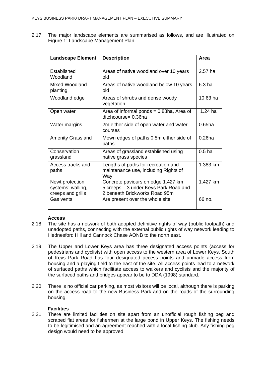2.17 The major landscape elements are summarised as follows, and are illustrated on Figure 1: Landscape Management Plan.

| <b>Landscape Element</b>                                  | <b>Description</b>                                                                                           | Area              |
|-----------------------------------------------------------|--------------------------------------------------------------------------------------------------------------|-------------------|
| Established<br>Woodland                                   | Areas of native woodland over 10 years<br>old                                                                | $2.57$ ha         |
| <b>Mixed Woodland</b><br>planting                         | Areas of native woodland below 10 years<br>old                                                               | 6.3 <sub>ha</sub> |
| Woodland edge                                             | Areas of shrubs and dense woody<br>vegetation                                                                | 10.63 ha          |
| Open water                                                | Area of informal ponds $= 0.88$ ha, Area of<br>ditchcourse= 0.36ha                                           | $1.24$ ha         |
| Water margins                                             | 2m either side of open water and water<br>courses                                                            | $0.65$ ha         |
| <b>Amenity Grassland</b>                                  | Mown edges of paths 0.5m either side of<br>paths                                                             | $0.26$ ha         |
| Conservation<br>grassland                                 | Areas of grassland established using<br>native grass species                                                 | 0.5 <sub>ha</sub> |
| Access tracks and<br>paths                                | Lengths of paths for recreation and<br>maintenance use, including Rights of<br>Wav                           | 1.383 km          |
| Newt protection<br>systems: walling,<br>creeps and grills | Concrete paviours on edge 1.427 km<br>5 creeps - 3 under Keys Park Road and<br>2 beneath Brickworks Road 95m | 1.427 km          |
| Gas vents                                                 | Are present over the whole site                                                                              | 66 no.            |

#### **Access**

- 2.18 The site has a network of both adopted definitive rights of way (public footpath) and unadopted paths, connecting with the external public rights of way network leading to Hednesford Hill and Cannock Chase AONB to the north east.
- 2.19 The Upper and Lower Keys area has three designated access points (access for pedestrians and cyclists) with open access to the western area of Lower Keys. South of Keys Park Road has four designated access points and unmade access from housing and a playing field to the east of the site. All access points lead to a network of surfaced paths which facilitate access to walkers and cyclists and the majority of the surfaced paths and bridges appear to be to DDA (1998) standard.
- 2.20 There is no official car parking, as most visitors will be local, although there is parking on the access road to the new Business Park and on the roads of the surrounding housing.

#### **Facilities**

2.21 There are limited facilities on site apart from an unofficial rough fishing peg and scraped flat areas for fishermen at the large pond in Upper Keys. The fishing needs to be legitimised and an agreement reached with a local fishing club. Any fishing peg design would need to be approved.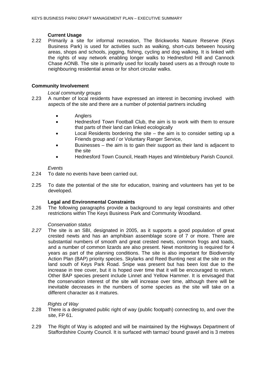#### **Current Usage**

2.22 Primarily a site for informal recreation, The Brickworks Nature Reserve (Keys Business Park) is used for activities such as walking, short-cuts between housing areas, shops and schools, jogging, fishing, cycling and dog walking. It is linked with the rights of way network enabling longer walks to Hednesford Hill and Cannock Chase AONB. The site is primarily used for locally based users as a through route to neighbouring residential areas or for short circular walks.

#### **Community Involvement**

*Local community groups* 

- 2.23 A number of local residents have expressed an interest in becoming involved with aspects of the site and there are a number of potential partners including
	- Anglers
	- Hednesford Town Football Club, the aim is to work with them to ensure that parts of their land can linked ecologically
	- Local Residents bordering the site  $-$  the aim is to consider setting up a Friends group and / or Voluntary Ranger Service,
	- Businesses the aim is to gain their support as their land is adjacent to the site
	- Hednesford Town Council, Heath Hayes and Wimblebury Parish Council.

#### *Events*

- 2.24 To date no events have been carried out.
- 2.25 To date the potential of the site for education, training and volunteers has yet to be developed.

#### **Legal and Environmental Constraints**

2.26 The following paragraphs provide a background to any legal constraints and other restrictions within The Keys Business Park and Community Woodland.

#### *Conservation status*

*2.27* The site is an SBI, designated in 2005, as it supports a good population of great crested newts and has an amphibian assemblage score of 7 or more. There are substantial numbers of smooth and great crested newts, common frogs and toads, and a number of common lizards are also present. Newt monitoring is required for 4 years as part of the planning conditions. The site is also important for Biodiversity Action Plan (BAP) priority species. Skylarks and Reed Bunting nest at the site on the land south of Keys Park Road. Snipe was present but has been lost due to the increase in tree cover, but it is hoped over time that it will be encouraged to return. Other BAP species present include Linnet and Yellow Hammer. It is envisaged that the conservation interest of the site will increase over time, although there will be inevitable decreases in the numbers of some species as the site will take on a different character as it matures.

#### *Rights of Way*

- 2.28 There is a designated public right of way (public footpath) connecting to, and over the site, FP 61.
- 2.29 The Right of Way is adopted and will be maintained by the Highways Department of Staffordshire County Council. It is surfaced with tarmac/ bound gravel and is 3 metres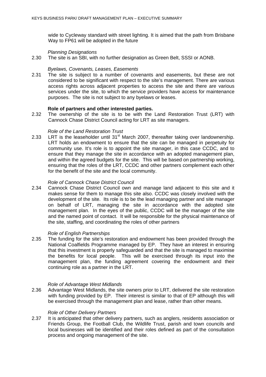wide to Cycleway standard with street lighting. It is aimed that the path from Brisbane Way to FP61 will be adopted in the future

*Planning Designations*

2.30 The site is an SBI, with no further designation as Green Belt, SSSI or AONB.

#### *Byelaws, Covenants, Leases, Easements*

2.31 The site is subject to a number of covenants and easements, but these are not considered to be significant with respect to the site's management. There are various access rights across adjacent properties to access the site and there are various services under the site, to which the service providers have access for maintenance purposes. The site is not subject to any byelaws or leases.

#### **Role of partners and other interested parties.**

2.32 The ownership of the site is to be with the Land Restoration Trust (LRT) with Cannock Chase District Council acting for LRT as site managers.

#### *Role of the Land Restoration Trust*

2.33 LRT is the leaseholder until  $31<sup>st</sup>$  March 2007, thereafter taking over landownership. LRT holds an endowment to ensure that the site can be managed in perpetuity for community use. It's role is to appoint the site manager, in this case CCDC, and to ensure that they manage the site in accordance with an adopted management plan, and within the agreed budgets for the site. This will be based on partnership working, ensuring that the roles of the LRT, CCDC and other partners complement each other for the benefit of the site and the local community.

#### *Role of Cannock Chase District Council*

2.34 Cannock Chase District Council own and manage land adjacent to this site and it makes sense for them to manage this site also. CCDC was closely involved with the development of the site. Its role is to be the lead managing partner and site manager on behalf of LRT, managing the site in accordance with the adopted site management plan. In the eyes of the public, CCDC will be the manager of the site and the named point of contact. It will be responsible for the physical maintenance of the site, staffing, and coordinating the roles of other partners

#### *Role of English Partnerships*

2.35 The funding for the site's restoration and endowment has been provided through the National Coalfields Programme managed by EP. They have an interest in ensuring that this investment is properly safeguarded and that the site is managed to maximise the benefits for local people. This will be exercised through its input into the management plan, the funding agreement covering the endowment and their continuing role as a partner in the LRT.

#### *Role of Advantage West Midlands*

2.36 Advantage West Midlands, the site owners prior to LRT, delivered the site restoration with funding provided by EP. Their interest is similar to that of EP although this will be exercised through the management plan and lease, rather than other means.

#### *Role of Other Delivery Partners*

2.37 It is anticipated that other delivery partners, such as anglers, residents association or Friends Group, the Football Club, the Wildlife Trust, parish and town councils and local businesses will be identified and their roles defined as part of the consultation process and ongoing management of the site.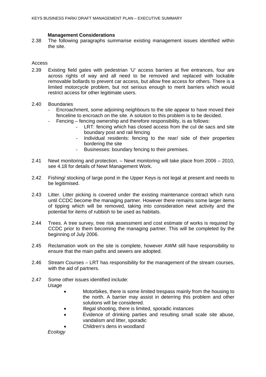#### **Management Considerations**

2.38 The following paragraphs summarise existing management issues identified within the site.

#### Access

2.39 Existing field gates with pedestrian 'U' access barriers at five entrances, four are across rights of way and all need to be removed and replaced with lockable removable bollards to prevent car access, but allow free access for others. There is a limited motorcycle problem, but not serious enough to merit barriers which would restrict access for other legitimate users.

#### 2.40 Boundaries

- Encroachment, some adjoining neighbours to the site appear to have moved their fenceline to encroach on the site. A solution to this problem is to be decided.
- Fencing fencing ownership and therefore responsibility, is as follows:
	- LRT: fencing which has closed access from the cul de sacs and site boundary post and rail fencing
	- Individual residents: fencing to the rear/ side of their properties bordering the site
	- Businesses: boundary fencing to their premises.
- 2.41 Newt monitoring and protection. Newt monitoring will take place from 2006 2010, see 4.18 for details of Newt Management Work.
- 2.42 Fishing/ stocking of large pond in the Upper Keys is not legal at present and needs to be legitimised.
- 2.43 Litter. Litter picking is covered under the existing maintenance contract which runs until CCDC become the managing partner. However there remains some larger items of tipping which will be removed, taking into consideration newt activity and the potential for items of rubbish to be used as habitats.
- 2.44 Trees. A tree survey, tree risk assessment and cost estimate of works is required by CCDC prior to them becoming the managing partner. This will be completed by the beginning of July 2006.
- 2.45 Reclamation work on the site is complete, however AWM still have responsibility to ensure that the main paths and sewers are adopted.
- 2.46 Stream Courses LRT has responsibility for the management of the stream courses, with the aid of partners.
- 2.47 Some other issues identified include: *Usage* 
	- Motorbikes, there is some limited trespass mainly from the housing to the north. A barrier may assist in deterring this problem and other solutions will be considered.
	- Illegal shooting, there is limited, sporadic instances
	- Evidence of drinking parties and resulting small scale site abuse, vandalism and litter, sporadic
	- Children's dens in woodland

*Ecology*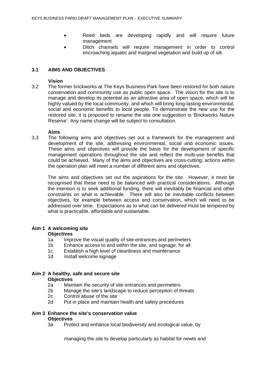- Reed beds are developing rapidly and will require future management
- Ditch channels will require management in order to control encroaching aquatic and marginal vegetation and build up of silt.

#### **3.1 AIMS AND OBJECTIVES**

#### **Vision**

3.2 The former brickworks at The Keys Business Park have been restored for both nature conservation and community use as public open space. The vision for the site is to manage and develop its potential as an attractive area of open space, which will be highly valued by the local community, and which will bring long-lasting environmental, social and economic benefits to local people. To demonstrate the new use for the restored site, it is proposed to rename the site one suggestion is 'Brickworks Nature Reserve'. Any name change will be subject to consultation.

#### **Aims**

3.3 The following aims and objectives set out a framework for the management and development of the site, addressing environmental, social and economic issues. These aims and objectives will provide the basis for the development of specific management operations throughout the site and reflect the multi-use benefits that could be achieved. Many of the aims and objectives are cross-cutting; actions within the operation plan will meet a number of different aims and objectives.

The aims and objectives set out the aspirations for the site. However, it must be recognised that these need to be balanced with practical considerations. Although the intention is to seek additional funding, there will inevitably be financial and other constraints on what is achievable. There will also be inevitable conflicts between objectives, for example between access and conservation, which will need to be addressed over time. Expectations as to what can be delivered must be tempered by what is practicable, affordable and sustainable.

#### **Aim 1 A welcoming site**

#### **Objectives**

- 1a Improve the visual quality of site entrances and perimeters
- 1b Enhance access to and within the site, and signage, for all
- 1c Establish a high level of cleanliness and maintenance
- 1d Install welcome signage

## **Aim 2 A healthy, safe and secure site**

#### **Objectives**

- 2a Maintain the security of site entrances and perimeters
- 2b Manage the site's landscape to reduce perception of threats
- 2c Control abuse of the site
- 2d Put in place and maintain health and safety procedures

#### **Aim 3 Enhance the site's conservation value**

#### **Objectives**

3a Protect and enhance local biodiversity and ecological value, by

managing the site to develop particularly as habitat for newts and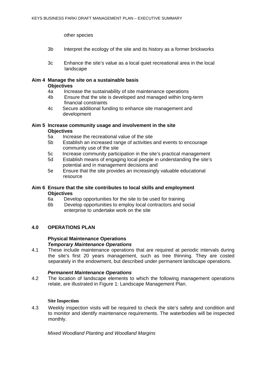other species

- 3b Interpret the ecology of the site and its history as a former brickworks
- 3c Enhance the site's value as a local quiet recreational area in the local landscape

## **Aim 4 Manage the site on a sustainable basis Objectives**

- 4a Increase the sustainability of site maintenance operations
- 4b Ensure that the site is developed and managed within long-term financial constraints
- 4c Secure additional funding to enhance site management and development

#### **Aim 5 Increase community usage and involvement in the site Objectives**

- 5a Increase the recreational value of the site
- 5b Establish an increased range of activities and events to encourage community use of the site
- 5c Increase community participation in the site's practical management
- 5d Establish means of engaging local people in understanding the site's potential and in management decisions and
- 5e Ensure that the site provides an increasingly valuable educational resource

#### **Aim 6 Ensure that the site contributes to local skills and employment Objectives**

- 6a Develop opportunities for the site to be used for training
- 6b Develop opportunities to employ local contractors and social enterprise to undertake work on the site

#### **4.0 OPERATIONS PLAN**

#### **Physical Maintenance Operations**  *Temporary Maintenance Operations*

4.1 These include maintenance operations that are required at periodic intervals during the site's first 20 years management, such as tree thinning. They are costed separately in the endowment, but described under permanent landscape operations.

#### *Permanent Maintenance Operations*

4.2 The location of landscape elements to which the following management operations relate, are illustrated in Figure 1: Landscape Management Plan.

#### **Site Inspection**

4.3 Weekly inspection visits will be required to check the site's safety and condition and to monitor and identify maintenance requirements. The waterbodies will be inspected monthly.

*Mixed Woodland Planting and Woodland Margins*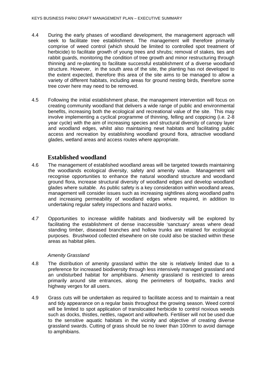- 4.4 During the early phases of woodland development, the management approach will seek to facilitate tree establishment. The management will therefore primarily comprise of weed control (which should be limited to controlled spot treatment of herbicide) to facilitate growth of young trees and shrubs; removal of stakes, ties and rabbit guards, monitoring the condition of tree growth and minor restructuring through thinning and re-planting to facilitate successful establishment of a diverse woodland structure. However, in the south area of the site, the planting has not developed to the extent expected, therefore this area of the site aims to be managed to allow a variety of different habitats, including areas for ground nesting birds, therefore some tree cover here may need to be removed.
- 4.5 Following the initial establishment phase, the management intervention will focus on creating community woodland that delivers a wide range of public and environmental benefits, increasing both the ecological and recreational value of the site. This may involve implementing a cyclical programme of thinning, felling and coppicing (i.e. 2-8 year cycle) with the aim of increasing species and structural diversity of canopy layer and woodland edges, whilst also maintaining newt habitats and facilitating public access and recreation by establishing woodland ground flora, attractive woodland glades, wetland areas and access routes where appropriate.

### **Established woodland**

- 4.6 The management of established woodland areas will be targeted towards maintaining the woodlands ecological diversity, safety and amenity value. Management will recognise opportunities to enhance the natural woodland structure and woodland ground flora, increase structural diversity of woodland edges and develop woodland glades where suitable. As public safety is a key consideration within woodland areas, management will consider issues such as increasing sightlines along woodland paths and increasing permeability of woodland edges where required, in addition to undertaking regular safety inspections and hazard works.
- *4.7* Opportunities to increase wildlife habitats and biodiversity will be explored by facilitating the establishment of dense inaccessible 'sanctuary' areas where dead standing timber, diseased branches and hollow trunks are retained for ecological purposes. Brushwood collected elsewhere on site could also be stacked within these areas as habitat piles.

#### *Amenity Grassland*

- 4.8 The distribution of amenity grassland within the site is relatively limited due to a preference for increased biodiversity through less intensively managed grassland and an undisturbed habitat for amphibians. Amenity grassland is restricted to areas primarily around site entrances, along the perimeters of footpaths, tracks and highway verges for all users.
- 4.9 Grass cuts will be undertaken as required to facilitate access and to maintain a neat and tidy appearance on a regular basis throughout the growing season. Weed control will be limited to spot application of translocated herbicide to control noxious weeds such as docks, thistles, nettles, ragwort and willowherb. Fertiliser will not be used due to the sensitive aquatic habitats in the vicinity and objective of creating diverse grassland swards. Cutting of grass should be no lower than 100mm to avoid damage to amphibians.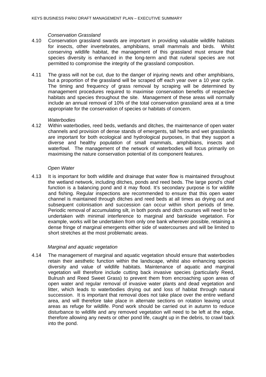#### *Conservation Grassland*

- 4.10 Conservation grassland swards are important in providing valuable wildlife habitats for insects, other invertebrates, amphibians, small mammals and birds. Whilst conserving wildlife habitat, the management of this grassland must ensure that species diversity is enhanced in the long-term and that ruderal species are not permitted to compromise the integrity of the grassland composition.
- 4.11 The grass will not be cut, due to the danger of injuring newts and other amphibians, but a proportion of the grassland will be scraped off each year over a 10 year cycle. The timing and frequency of grass removal by scraping will be determined by management procedures required to maximise conservation benefits of respective habitats and species throughout the site. Management of these areas will normally include an annual removal of 10% of the total conservation grassland area at a time appropriate for the conservation of species or habitats of concern.

#### *Waterbodies*

4.12 Within waterbodies, reed beds, wetlands and ditches, the maintenance of open water channels and provision of dense stands of emergents, tall herbs and wet grasslands are important for both ecological and hydrological purposes, in that they support a diverse and healthy population of small mammals, amphibians, insects and waterfowl. The management of the network of waterbodies will focus primarily on maximising the nature conservation potential of its component features.

#### *Open Water*

4.13 It is important for both wildlife and drainage that water flow is maintained throughout the wetland network, including ditches, ponds and reed beds. The large pond's chief function is a balancing pond and it may flood. It's secondary purpose is for wildlife and fishing. Regular inspections are recommended to ensure that this open water channel is maintained through ditches and reed beds at all times as drying out and subsequent colonisation and succession can occur within short periods of time. Periodic removal of accumulating silt, in both ponds and ditch courses will need to be undertaken with minimal interference to marginal and bankside vegetation. For example, works will be undertaken from only one bank wherever possible, retaining a dense fringe of marginal emergents either side of watercourses and will be limited to short stretches at the most problematic areas.

#### *Marginal and aquatic vegetation*

4.14 The management of marginal and aquatic vegetation should ensure that waterbodies retain their aesthetic function within the landscape, whilst also enhancing species diversity and value of wildlife habitats. Maintenance of aquatic and marginal vegetation will therefore include cutting back invasive species (particularly Reed, Bulrush and Reed Sweet Grass) to prevent them from encroaching upon areas of open water and regular removal of invasive water plants and dead vegetation and litter, which leads to waterbodies drying out and loss of habitat through natural succession. It is important that removal does not take place over the entire wetland area, and will therefore take place in alternate sections on rotation leaving uncut areas as refuge for wildlife. Pond work should be carried out in autumn to reduce disturbance to wildlife and any removed vegetation will need to be left at the edge, therefore allowing any newts or other pond life, caught up in the debris, to crawl back into the pond.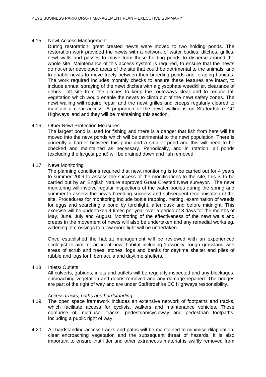#### 4.15 Newt Access Management

During restoration, great crested newts were moved to two holding ponds. The restoration work provided the newts with a network of water bodies, ditches, grilles, newt walls and passes to move from these holding ponds to disperse around the whole site. Maintenance of this access system is required, to ensure that the newts do not enter developed areas of the site that could be detrimental to the animals, and to enable newts to move freely between their breeding ponds and foraging habitats. The work required includes monthly checks to ensure these features are intact, to include annual spraying of the newt ditches with a glysophate weedkiller, clearance of debris off site from the ditches to keep the routeways clear and to reduce tall vegetation which would enable the newts to climb out of the newt safety zones. The newt walling will require repair and the newt grilles and creeps regularly cleared to maintain a clear access. A proportion of the newt walling is on Staffordshire CC Highways land and they will be maintaining this section.

#### 4.16 Other Newt Protection Measures

The largest pond is used for fishing and there is a danger that fish from here will be moved into the newt ponds which will be detrimental to the newt population. There is currently a barrier between this pond and a smaller pond and this will need to be checked and maintained as necessary. Periodically, and in rotation, all ponds (excluding the largest pond) will be drained down and fish removed.

#### 4.17 Newt Monitoring

The planning conditions required that newt monitoring is to be carried out for 4 years to summer 2009 to assess the success of the modifications to the site, this is to be carried out by an English Nature approved Great Crested Newt surveyor. The newt monitoring will involve regular inspections of the water bodies during the spring and summer to assess the newts breeding success and subsequent recolonisation of the site. Procedures for monitoring include bottle trapping, netting, examination of weeds for eggs and searching a pond by torchlight, after dusk and before midnight. This exercise will be undertaken 4 times per year over a period of 3 days for the months of May, June, July and August. Monitoring of the effectiveness of the newt walls and creeps in the movement of newts will also be undertaken and any remedial works eg. widening of crossings to allow more light will be undertaken.

Once established the habitat management will be reviewed with an experienced ecologist to aim for an ideal newt habitat including 'tussocky' rough grassland with areas of scrub and trees, stones, logs and banks for daytime shelter and piles of rubble and logs for hibernacula and daytime shelters.

#### 4.18 Inlets/ Outlets

All culverts, gabions, inlets and outlets will be regularly inspected and any blockages, encroaching vegetation and debris removed and any damage repaired. The bridges are part of the right of way and are under Staffordshire CC Highways responsibility.

#### *Access tracks, paths and hardstanding*

- 4.19 The open space framework includes an extensive network of footpaths and tracks, which facilitate access for cyclists, walkers and maintenance vehicles. These comprise of multi-user tracks, pedestrian/cycleway and pedestrian footpaths, including a public right of way.
- 4.20 All hardstanding access tracks and paths will be maintained to minimise dilapidation, clear encroaching vegetation and the subsequent threat of hazards. It is also important to ensure that litter and other extraneous material is swiftly removed from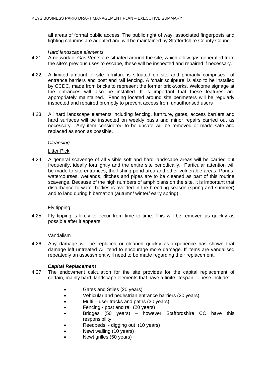all areas of formal public access. The public right of way, associated fingerposts and lighting columns are adopted and will be maintained by Staffordshire County Council.

#### *Hard landscape elements*

- 4.21 A network of Gas Vents are situated around the site, which allow gas generated from the site's previous uses to escape, these will be inspected and repaired if necessary.
- 4.22 A limited amount of site furniture is situated on site and primarily comprises of entrance barriers and post and rail fencing. A 'chair sculpture' is also to be installed by CCDC, made from bricks to represent the former brickworks. Welcome signage at the entrances will also be installed. It is important that these features are appropriately maintained. Fencing located around site perimeters will be regularly inspected and repaired promptly to prevent access from unauthorised users
- 4.23 All hard landscape elements including fencing, furniture, gates, access barriers and hard surfaces will be inspected on weekly basis and minor repairs carried out as necessary. Any item considered to be unsafe will be removed or made safe and replaced as soon as possible.

#### *Cleansing*

#### Litter Pick

4.24 A general scavenge of all visible soft and hard landscape areas will be carried out frequently, ideally fortnightly and the entire site periodically. Particular attention will be made to site entrances, the fishing pond area and other vulnerable areas. Ponds, watercourses, wetlands, ditches and pipes are to be cleaned as part of this routine scavenge. Because of the high numbers of amphibians on the site, it is important that disturbance to water bodies is avoided in the breeding season (spring and summer) and to land during hibernation (autumn/ winter/ early spring).

#### Fly tipping

4.25 Fly tipping is likely to occur from time to time. This will be removed as quickly as possible after it appears.

#### Vandalism

4.26 Any damage will be replaced or cleaned quickly as experience has shown that damage left untreated will tend to encourage more damage. If items are vandalised repeatedly an assessment will need to be made regarding their replacement.

#### *Capital Replacement*

- 4.27 The endowment calculation for the site provides for the capital replacement of certain, mainly hard, landscape elements that have a finite lifespan. These include:
	- Gates and Stiles (20 years)
	- Vehicular and pedestrian entrance barriers (20 years)
	- Multi user tracks and paths (30 years)
	- Fencing post and rail (20 years)
	- Bridges (50 years) however Staffordshire CC have this responsibility
	- Reedbeds digging out (10 years)
	- Newt walling (10 years)
	- Newt grilles (50 years)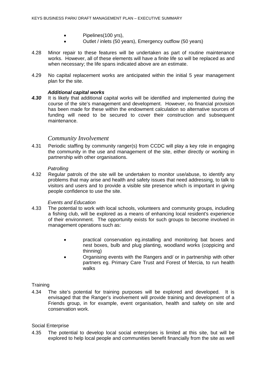- Pipelines(100 yrs),
- Outlet / inlets (50 years), Emergency outflow (50 years)
- 4.28 Minor repair to these features will be undertaken as part of routine maintenance works. However, all of these elements will have a finite life so will be replaced as and when necessary; the life spans indicated above are an estimate.
- 4.29 No capital replacement works are anticipated within the initial 5 year management plan for the site.

#### *Additional capital works*

*4.30* It is likely that additional capital works will be identified and implemented during the course of the site's management and development. However, no financial provision has been made for these within the endowment calculation so alternative sources of funding will need to be secured to cover their construction and subsequent maintenance.

#### *Community Involvement*

4.31 Periodic staffing by community ranger(s) from CCDC will play a key role in engaging the community in the use and management of the site, either directly or working in partnership with other organisations.

#### *Patrolling*

4.32 Regular patrols of the site will be undertaken to monitor use/abuse, to identify any problems that may arise and health and safety issues that need addressing, to talk to visitors and users and to provide a visible site presence which is important in giving people confidence to use the site.

#### *Events and Education*

- 4.33 The potential to work with local schools, volunteers and community groups, including a fishing club, will be explored as a means of enhancing local resident's experience of their environment. The opportunity exists for such groups to become involved in management operations such as:
	- practical conservation eg.installing and monitoring bat boxes and nest boxes, bulb and plug planting, woodland works (coppicing and thinning)
	- Organising events with the Rangers and/ or in partnership with other partners eg. Primary Care Trust and Forest of Mercia, to run health walks

#### **Training**

4.34 The site's potential for training purposes will be explored and developed. It is envisaged that the Ranger's involvement will provide training and development of a Friends group, in for example, event organisation, health and safety on site and conservation work.

#### Social Enterprise

4.35 The potential to develop local social enterprises is limited at this site, but will be explored to help local people and communities benefit financially from the site as well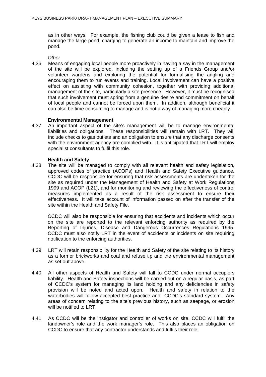as in other ways. For example, the fishing club could be given a lease to fish and manage the large pond, charging to generate an income to maintain and improve the pond.

*Other* 

4.36 Means of engaging local people more proactively in having a say in the management of the site will be explored, including the setting up of a Friends Group and/or volunteer wardens and exploring the potential for formalising the angling and encouraging them to run events and training. Local involvement can have a positive effect on assisting with community cohesion, together with providing additional management of the site, particularly a site presence. However, it must be recognised that such involvement must spring from a genuine desire and commitment on behalf of local people and cannot be forced upon them. In addition, although beneficial it can also be time consuming to manage and is not a way of managing more cheaply.

#### **Environmental Management**

4.37 An important aspect of the site's management will be to manage environmental liabilities and obligations. These responsibilities will remain with LRT. They will include checks to gas outlets and an obligation to ensure that any discharge consents with the environment agency are complied with. It is anticipated that LRT will employ specialist consultants to fulfil this role.

#### **Health and Safety**

4.38 The site will be managed to comply with all relevant health and safety legislation, approved codes of practice (ACOPs) and Health and Safety Executive guidance. CCDC will be responsible for ensuring that risk assessments are undertaken for the site as required under the Management of Health and Safety at Work Regulations 1999 and ACOP (L21), and for monitoring and reviewing the effectiveness of control measures implemented as a result of the risk assessment to ensure their effectiveness. It will take account of information passed on after the transfer of the site within the Health and Safety File.

CCDC will also be responsible for ensuring that accidents and incidents which occur on the site are reported to the relevant enforcing authority as required by the Reporting of Injuries, Disease and Dangerous Occurrences Regulations 1995. CCDC must also notify LRT in the event of accidents or incidents on site requiring notification to the enforcing authorities.

- 4.39 LRT will retain responsibility for the Health and Safety of the site relating to its history as a former brickworks and coal and refuse tip and the environmental management as set out above.
- 4.40 All other aspects of Health and Safety will fall to CCDC under normal occupiers liability. Health and Safety inspections will be carried out on a regular basis, as part of CCDC's system for managing its land holding and any deficiencies in safety provision will be noted and acted upon. Health and safety in relation to the waterbodies will follow accepted best practice and CCDC's standard system. Any areas of concern relating to the site's previous history, such as seepage, or erosion will be notified to LRT.
- 4.41 As CCDC will be the instigator and controller of works on site, CCDC will fulfil the landowner's role and the work manager's role. This also places an obligation on CCDC to ensure that any contractor understands and fulfils their role.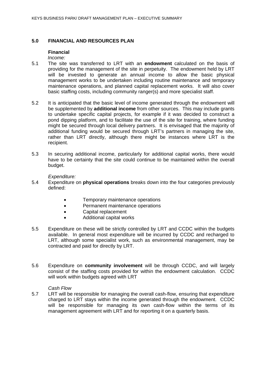#### **5.0 FINANCIAL AND RESOURCES PLAN**

#### **Financial**

*Income:* 

- 5.1 The site was transferred to LRT with an **endowment** calculated on the basis of providing for the management of the site in perpetuity. The endowment held by LRT will be invested to generate an annual income to allow the basic physical management works to be undertaken including routine maintenance and temporary maintenance operations, and planned capital replacement works. It will also cover basic staffing costs, including community ranger(s) and more specialist staff.
- 5.2 It is anticipated that the basic level of income generated through the endowment will be supplemented by **additional income** from other sources. This may include grants to undertake specific capital projects, for example if it was decided to construct a pond dipping platform, and to facilitate the use of the site for training, where funding might be secured through local delivery partners. It is envisaged that the majority of additional funding would be secured through LRT's partners in managing the site, rather than LRT directly, although there might be instances where LRT is the recipient.
- 5.3 In securing additional income, particularly for additional capital works, there would have to be certainty that the site could continue to be maintained within the overall budget.

*Expenditure:* 

- 5.4 Expenditure on **physical operations** breaks down into the four categories previously defined:
	- Temporary maintenance operations
	- Permanent maintenance operations
	- Capital replacement
	- Additional capital works
- 5.5 Expenditure on these will be strictly controlled by LRT and CCDC within the budgets available. In general most expenditure will be incurred by CCDC and recharged to LRT, although some specialist work, such as environmental management, may be contracted and paid for directly by LRT.
- 5.6 Expenditure on **community involvement** will be through CCDC, and will largely consist of the staffing costs provided for within the endowment calculation. CCDC will work within budgets agreed with LRT

#### *Cash Flow*

5.7 LRT will be responsible for managing the overall cash-flow, ensuring that expenditure charged to LRT stays within the income generated through the endowment. CCDC will be responsible for managing its own cash-flow within the terms of its management agreement with LRT and for reporting it on a quarterly basis.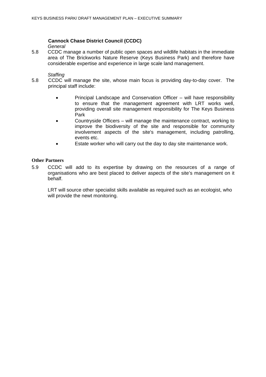### **Cannock Chase District Council (CCDC)**

#### *General*

5.8 CCDC manage a number of public open spaces and wildlife habitats in the immediate area of The Brickworks Nature Reserve (Keys Business Park) and therefore have considerable expertise and experience in large scale land management.

#### *Staffing*

- 5.8 CCDC will manage the site, whose main focus is providing day-to-day cover. The principal staff include:
	- Principal Landscape and Conservation Officer will have responsibility to ensure that the management agreement with LRT works well, providing overall site management responsibility for The Keys Business Park
	- Countryside Officers will manage the maintenance contract, working to improve the biodiversity of the site and responsible for community involvement aspects of the site's management, including patrolling, events etc.
	- Estate worker who will carry out the day to day site maintenance work.

#### **Other Partners**

5.9 CCDC will add to its expertise by drawing on the resources of a range of organisations who are best placed to deliver aspects of the site's management on it behalf.

LRT will source other specialist skills available as required such as an ecologist, who will provide the newt monitoring.